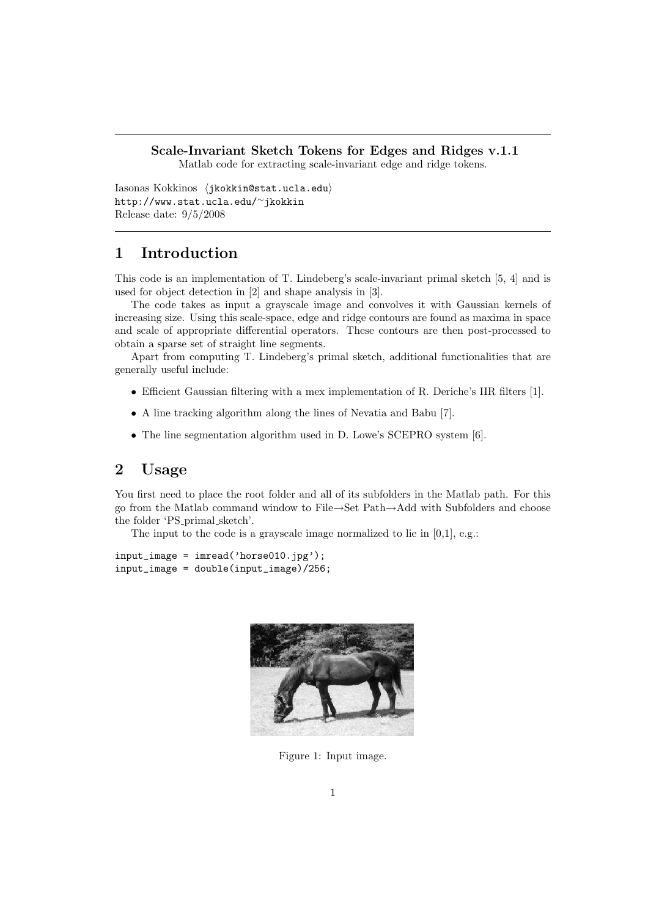# Scale-Invariant Sketch Tokens for Edges and Ridges v.1.1

Matlab code for extracting scale-invariant edge and ridge tokens.

Iasonas Kokkinos (jkokkin@stat.ucla.edu) http://www.stat.ucla.edu/<sup>∼</sup>jkokkin Release date: 9/5/2008

# 1 Introduction

This code is an implementation of T. Lindeberg's scale-invariant primal sketch [5, 4] and is used for object detection in [2] and shape analysis in [3].

The code takes as input a grayscale image and convolves it with Gaussian kernels of increasing size. Using this scale-space, edge and ridge contours are found as maxima in space and scale of appropriate differential operators. These contours are then post-processed to obtain a sparse set of straight line segments.

Apart from computing T. Lindeberg's primal sketch, additional functionalities that are generally useful include:

- Efficient Gaussian filtering with a mex implementation of R. Deriche's IIR filters [1].
- A line tracking algorithm along the lines of Nevatia and Babu [7].
- The line segmentation algorithm used in D. Lowe's SCEPRO system [6].

## 2 Usage

You first need to place the root folder and all of its subfolders in the Matlab path. For this go from the Matlab command window to File→Set Path→Add with Subfolders and choose the folder 'PS primal sketch'.

The input to the code is a grayscale image normalized to lie in [0,1], e.g.:

 $input\_image = imread('horse010.jpg');$  $input\_image = double(input\_image)/256;$ 



Figure 1: Input image.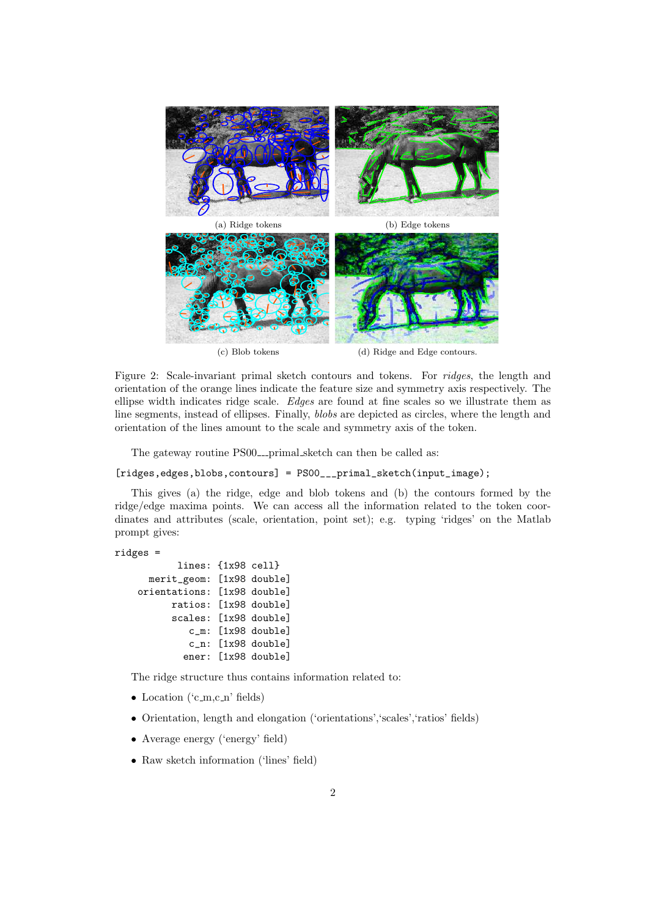

Figure 2: Scale-invariant primal sketch contours and tokens. For ridges, the length and orientation of the orange lines indicate the feature size and symmetry axis respectively. The ellipse width indicates ridge scale. Edges are found at fine scales so we illustrate them as line segments, instead of ellipses. Finally, blobs are depicted as circles, where the length and orientation of the lines amount to the scale and symmetry axis of the token.

The gateway routine PS00<sub>--</sub>primal sketch can then be called as:

[ridges,edges,blobs,contours] = PS00\_\_\_primal\_sketch(input\_image);

This gives (a) the ridge, edge and blob tokens and (b) the contours formed by the ridge/edge maxima points. We can access all the information related to the token coordinates and attributes (scale, orientation, point set); e.g. typing 'ridges' on the Matlab prompt gives:

```
ridges =
```

```
lines: {1x98 cell}
 merit_geom: [1x98 double]
orientations: [1x98 double]
      ratios: [1x98 double]
      scales: [1x98 double]
         c_m: [1x98 double]
         c_n: [1x98 double]
        ener: [1x98 double]
```
The ridge structure thus contains information related to:

- Location  $({\rm 'c.m.c.n'}$  fields)
- Orientation, length and elongation ('orientations','scales','ratios' fields)
- Average energy ('energy' field)
- Raw sketch information ('lines' field)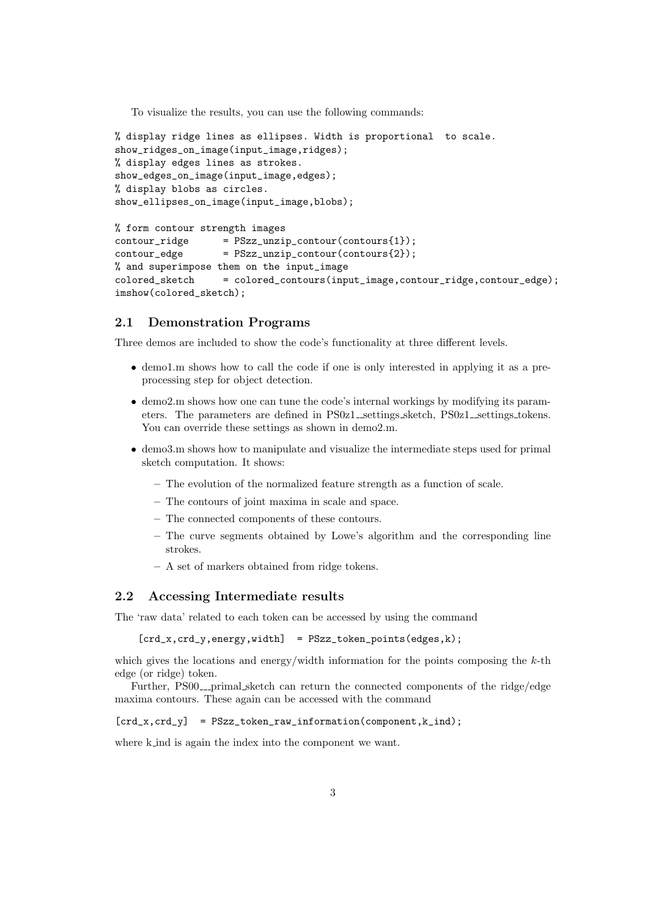To visualize the results, you can use the following commands:

```
% display ridge lines as ellipses. Width is proportional to scale.
show_ridges_on_image(input_image,ridges);
% display edges lines as strokes.
show_edges_on_image(input_image,edges);
% display blobs as circles.
show_ellipses_on_image(input_image,blobs);
```

```
% form contour strength images
contour\_ridge = PSzz\_unzip\_contour(contours{1});
contour\_edge = PSzz\_unzip\_contour(contours{2});
% and superimpose them on the input_image
colored_sketch = colored_contours(input_image,contour_ridge,contour_edge);
imshow(colored_sketch);
```
### 2.1 Demonstration Programs

Three demos are included to show the code's functionality at three different levels.

- demo1.m shows how to call the code if one is only interested in applying it as a preprocessing step for object detection.
- demo2.m shows how one can tune the code's internal workings by modifying its parameters. The parameters are defined in PS0z1<sub>-settings sketch</sub>, PS0z1<sub>-settings tokens.</sub> You can override these settings as shown in demo2.m.
- demo3.m shows how to manipulate and visualize the intermediate steps used for primal sketch computation. It shows:
	- The evolution of the normalized feature strength as a function of scale.
	- The contours of joint maxima in scale and space.
	- The connected components of these contours.
	- The curve segments obtained by Lowe's algorithm and the corresponding line strokes.
	- A set of markers obtained from ridge tokens.

#### 2.2 Accessing Intermediate results

The 'raw data' related to each token can be accessed by using the command

 $[crd_x, crd_y, energy, width] = PSzz\_token\_points(edges, k);$ 

which gives the locations and energy/width information for the points composing the  $k$ -th edge (or ridge) token.

Further,  $PS00$ --primal sketch can return the connected components of the ridge/edge maxima contours. These again can be accessed with the command

 $[crd_x, crd_y]$  = PSzz\_token\_raw\_information(component, k\_ind);

where k ind is again the index into the component we want.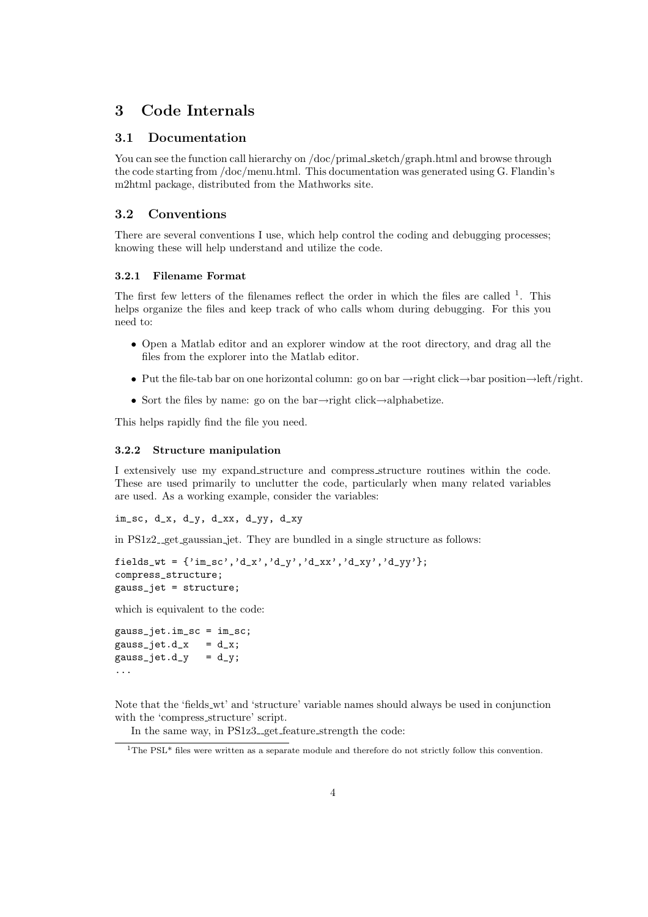# 3 Code Internals

### 3.1 Documentation

You can see the function call hierarchy on /doc/primal\_sketch/graph.html and browse through the code starting from /doc/menu.html. This documentation was generated using G. Flandin's m2html package, distributed from the Mathworks site.

## 3.2 Conventions

There are several conventions I use, which help control the coding and debugging processes; knowing these will help understand and utilize the code.

#### 3.2.1 Filename Format

The first few letters of the filenames reflect the order in which the files are called <sup>1</sup>. This helps organize the files and keep track of who calls whom during debugging. For this you need to:

- Open a Matlab editor and an explorer window at the root directory, and drag all the files from the explorer into the Matlab editor.
- Put the file-tab bar on one horizontal column: go on bar →right click→bar position→left/right.
- Sort the files by name: go on the bar→right click→alphabetize.

This helps rapidly find the file you need.

#### 3.2.2 Structure manipulation

I extensively use my expand structure and compress structure routines within the code. These are used primarily to unclutter the code, particularly when many related variables are used. As a working example, consider the variables:

im\_sc, d\_x, d\_y, d\_xx, d\_yy, d\_xy

in  $PS1z2 \text{__get\_gaussian\_jet}$ . They are bundled in a single structure as follows:

```
fields_wt = {'im_sc','d_x','d_y','d_xx','d_xy','d_yy'};
compress_structure;
gauss_jet = structure;
```
which is equivalent to the code:

```
gauss_jet.im_sc = im_sc;
gauss_jet.d_x = d_x;gauss_jet.d_y = d_y;...
```
Note that the 'fields wt' and 'structure' variable names should always be used in conjunction with the 'compress structure' script.

In the same way, in PS1z3<sub>-get</sub> feature strength the code:

<sup>&</sup>lt;sup>1</sup>The PSL<sup>\*</sup> files were written as a separate module and therefore do not strictly follow this convention.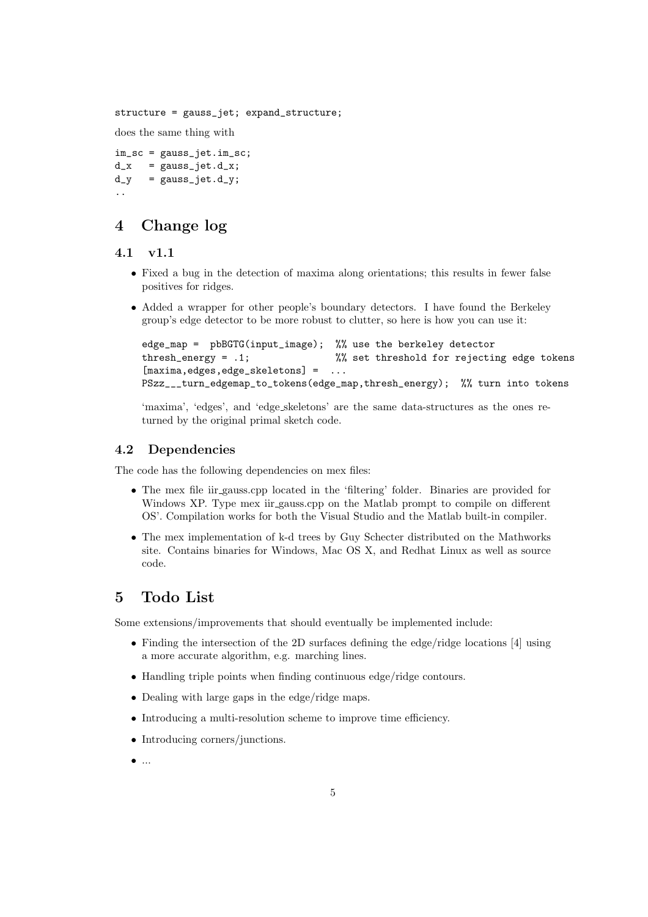structure = gauss\_jet; expand\_structure;

does the same thing with

```
im_sc = gauss_jet.im_sc;
d_x = gauss_jet.d_x;
d_y = gauss_jet.d_y;
..
```
# 4 Change log

### 4.1 v1.1

- Fixed a bug in the detection of maxima along orientations; this results in fewer false positives for ridges.
- Added a wrapper for other people's boundary detectors. I have found the Berkeley group's edge detector to be more robust to clutter, so here is how you can use it:

```
edge_map = pbBGTG(input_image); %% use the berkeley detector
thresh_energy = .1; %% set threshold for rejecting edge tokens
[maxima, edges, edge_skeletons] = ...
PSzz___turn_edgemap_to_tokens(edge_map,thresh_energy); %% turn into tokens
```
'maxima', 'edges', and 'edge skeletons' are the same data-structures as the ones returned by the original primal sketch code.

## 4.2 Dependencies

The code has the following dependencies on mex files:

- The mex file iir gauss.cpp located in the 'filtering' folder. Binaries are provided for Windows XP. Type mex iir gauss.cpp on the Matlab prompt to compile on different OS'. Compilation works for both the Visual Studio and the Matlab built-in compiler.
- The mex implementation of k-d trees by Guy Schecter distributed on the Mathworks site. Contains binaries for Windows, Mac OS X, and Redhat Linux as well as source code.

## 5 Todo List

Some extensions/improvements that should eventually be implemented include:

- Finding the intersection of the 2D surfaces defining the edge/ridge locations [4] using a more accurate algorithm, e.g. marching lines.
- Handling triple points when finding continuous edge/ridge contours.
- Dealing with large gaps in the edge/ridge maps.
- Introducing a multi-resolution scheme to improve time efficiency.
- Introducing corners/junctions.
- $\bullet$  ...